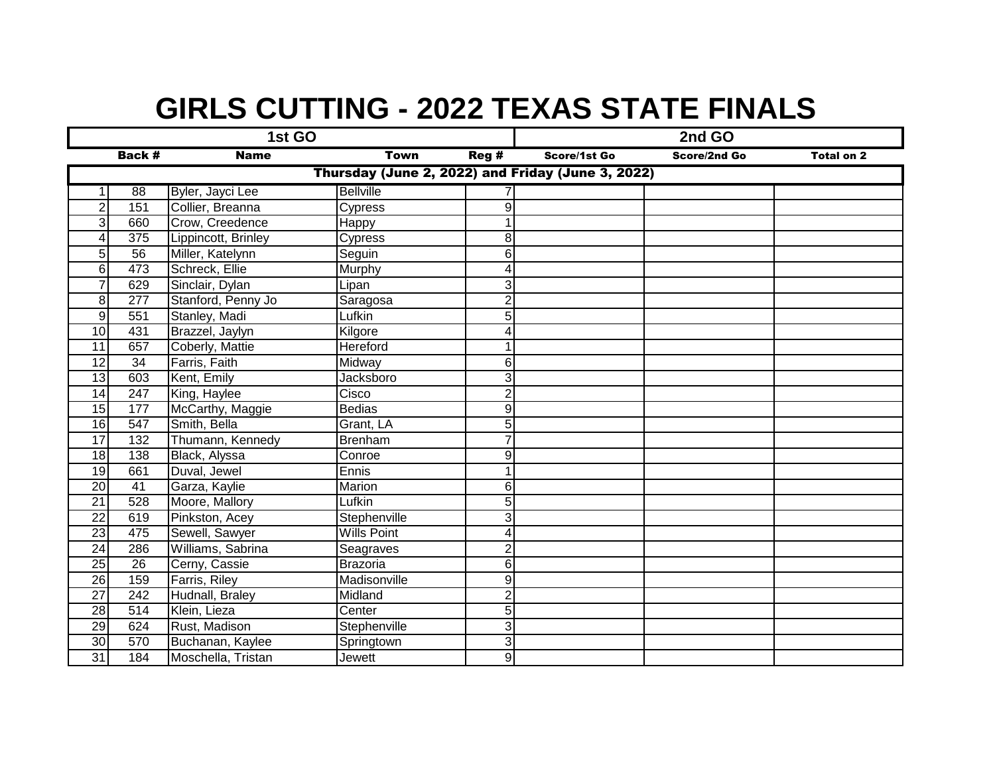## **GIRLS CUTTING - 2022 TEXAS STATE FINALS**

|                                                   |                 | 1st GO              |                    | 2nd GO                  |              |              |                   |  |  |  |  |  |
|---------------------------------------------------|-----------------|---------------------|--------------------|-------------------------|--------------|--------------|-------------------|--|--|--|--|--|
|                                                   | Back #          | <b>Name</b>         | <b>Town</b>        | Reg#                    | Score/1st Go | Score/2nd Go | <b>Total on 2</b> |  |  |  |  |  |
| Thursday (June 2, 2022) and Friday (June 3, 2022) |                 |                     |                    |                         |              |              |                   |  |  |  |  |  |
| 1 <sup>1</sup>                                    | 88              | Byler, Jayci Lee    | <b>Bellville</b>   |                         |              |              |                   |  |  |  |  |  |
| $\overline{2}$                                    | 151             | Collier, Breanna    | Cypress            | 9                       |              |              |                   |  |  |  |  |  |
| 3                                                 | 660             | Crow, Creedence     | <b>Happy</b>       |                         |              |              |                   |  |  |  |  |  |
| $\overline{4}$                                    | 375             | Lippincott, Brinley | Cypress            | 8                       |              |              |                   |  |  |  |  |  |
| 5 <sup>5</sup>                                    | 56              | Miller, Katelynn    | Seguin             | 6                       |              |              |                   |  |  |  |  |  |
| $6 \overline{6}$                                  | 473             | Schreck, Ellie      | Murphy             | 4                       |              |              |                   |  |  |  |  |  |
| $\overline{7}$                                    | 629             | Sinclair, Dylan     | Lipan              | 3                       |              |              |                   |  |  |  |  |  |
| 8                                                 | 277             | Stanford, Penny Jo  | Saragosa           | $\overline{\mathbf{c}}$ |              |              |                   |  |  |  |  |  |
| $\overline{9}$                                    | 551             | Stanley, Madi       | Lufkin             | 5                       |              |              |                   |  |  |  |  |  |
| 10                                                | 431             | Brazzel, Jaylyn     | Kilgore            | 4                       |              |              |                   |  |  |  |  |  |
| 11                                                | 657             | Coberly, Mattie     | <b>Hereford</b>    |                         |              |              |                   |  |  |  |  |  |
| $\overline{12}$                                   | 34              | Farris, Faith       | Midway             | 6                       |              |              |                   |  |  |  |  |  |
| 13                                                | 603             | Kent, Emily         | Jacksboro          | 3                       |              |              |                   |  |  |  |  |  |
| $\overline{14}$                                   | 247             | King, Haylee        | Cisco              | $\overline{2}$          |              |              |                   |  |  |  |  |  |
| 15                                                | 177             | McCarthy, Maggie    | <b>Bedias</b>      | 9                       |              |              |                   |  |  |  |  |  |
| 16                                                | 547             | Smith, Bella        | Grant, LA          | 5                       |              |              |                   |  |  |  |  |  |
| $\overline{17}$                                   | 132             | Thumann, Kennedy    | <b>Brenham</b>     | $\overline{7}$          |              |              |                   |  |  |  |  |  |
| 18                                                | 138             | Black, Alyssa       | Conroe             | 9                       |              |              |                   |  |  |  |  |  |
| 19                                                | 661             | Duval, Jewel        | Ennis              |                         |              |              |                   |  |  |  |  |  |
| $\overline{20}$                                   | $\overline{41}$ | Garza, Kaylie       | Marion             | 6                       |              |              |                   |  |  |  |  |  |
| 21                                                | 528             | Moore, Mallory      | Lufkin             | 5                       |              |              |                   |  |  |  |  |  |
| $\overline{22}$                                   | 619             | Pinkston, Acey      | Stephenville       | 3                       |              |              |                   |  |  |  |  |  |
| $\overline{23}$                                   | 475             | Sewell, Sawyer      | <b>Wills Point</b> | 4                       |              |              |                   |  |  |  |  |  |
| $\overline{24}$                                   | 286             | Williams, Sabrina   | Seagraves          | $\overline{2}$          |              |              |                   |  |  |  |  |  |
| $\overline{25}$                                   | 26              | Cerny, Cassie       | Brazoria           | 6                       |              |              |                   |  |  |  |  |  |
| 26                                                | 159             | Farris, Riley       | Madisonville       | 9                       |              |              |                   |  |  |  |  |  |
| $\overline{27}$                                   | 242             | Hudnall, Braley     | Midland            | $\overline{c}$          |              |              |                   |  |  |  |  |  |
| $\overline{28}$                                   | 514             | Klein, Lieza        | Center             | 5                       |              |              |                   |  |  |  |  |  |
| 29                                                | 624             | Rust, Madison       | Stephenville       | ω                       |              |              |                   |  |  |  |  |  |
| 30                                                | 570             | Buchanan, Kaylee    | Springtown         | 3                       |              |              |                   |  |  |  |  |  |
| 31                                                | 184             | Moschella, Tristan  | Jewett             | 9                       |              |              |                   |  |  |  |  |  |